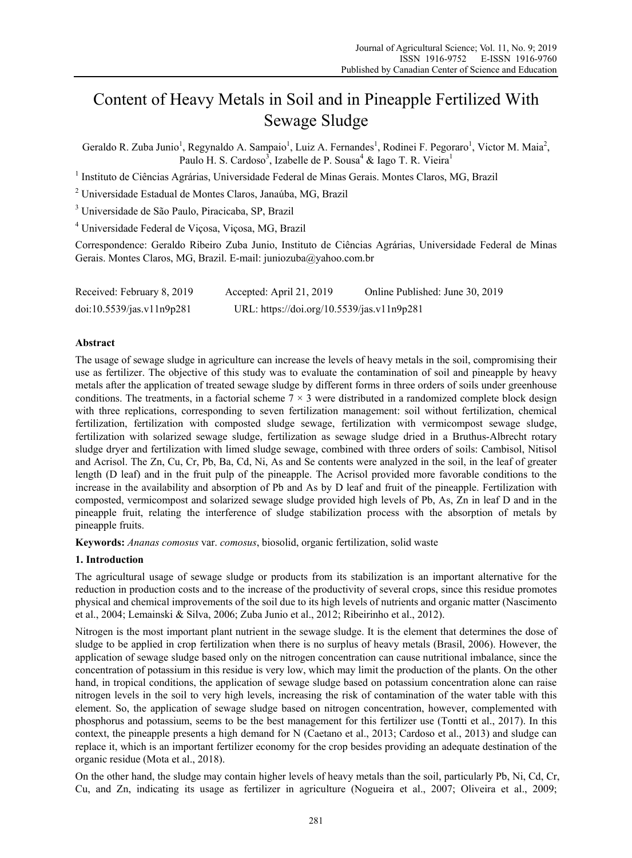# Content of Heavy Metals in Soil and in Pineapple Fertilized With Sewage Sludge

Geraldo R. Zuba Junio<sup>1</sup>, Regynaldo A. Sampaio<sup>1</sup>, Luiz A. Fernandes<sup>1</sup>, Rodinei F. Pegoraro<sup>1</sup>, Victor M. Maia<sup>2</sup>, Paulo H. S. Cardoso<sup>3</sup>, Izabelle de P. Sousa<sup>4</sup> & Iago T. R. Vieira<sup>1</sup>

<sup>1</sup> Instituto de Ciências Agrárias, Universidade Federal de Minas Gerais. Montes Claros, MG, Brazil

2 Universidade Estadual de Montes Claros, Janaúba, MG, Brazil

3 Universidade de São Paulo, Piracicaba, SP, Brazil

4 Universidade Federal de Viçosa, Viçosa, MG, Brazil

Correspondence: Geraldo Ribeiro Zuba Junio, Instituto de Ciências Agrárias, Universidade Federal de Minas Gerais. Montes Claros, MG, Brazil. E-mail: juniozuba@yahoo.com.br

| Received: February 8, 2019 | Accepted: April 21, 2019                   | Online Published: June 30, 2019 |
|----------------------------|--------------------------------------------|---------------------------------|
| doi:10.5539/jas.v11n9p281  | URL: https://doi.org/10.5539/jas.v11n9p281 |                                 |

### **Abstract**

The usage of sewage sludge in agriculture can increase the levels of heavy metals in the soil, compromising their use as fertilizer. The objective of this study was to evaluate the contamination of soil and pineapple by heavy metals after the application of treated sewage sludge by different forms in three orders of soils under greenhouse conditions. The treatments, in a factorial scheme  $7 \times 3$  were distributed in a randomized complete block design with three replications, corresponding to seven fertilization management: soil without fertilization, chemical fertilization, fertilization with composted sludge sewage, fertilization with vermicompost sewage sludge, fertilization with solarized sewage sludge, fertilization as sewage sludge dried in a Bruthus-Albrecht rotary sludge dryer and fertilization with limed sludge sewage, combined with three orders of soils: Cambisol, Nitisol and Acrisol. The Zn, Cu, Cr, Pb, Ba, Cd, Ni, As and Se contents were analyzed in the soil, in the leaf of greater length (D leaf) and in the fruit pulp of the pineapple. The Acrisol provided more favorable conditions to the increase in the availability and absorption of Pb and As by D leaf and fruit of the pineapple. Fertilization with composted, vermicompost and solarized sewage sludge provided high levels of Pb, As, Zn in leaf D and in the pineapple fruit, relating the interference of sludge stabilization process with the absorption of metals by pineapple fruits.

**Keywords:** *Ananas comosus* var. *comosus*, biosolid, organic fertilization, solid waste

### **1. Introduction**

The agricultural usage of sewage sludge or products from its stabilization is an important alternative for the reduction in production costs and to the increase of the productivity of several crops, since this residue promotes physical and chemical improvements of the soil due to its high levels of nutrients and organic matter (Nascimento et al., 2004; Lemainski & Silva, 2006; Zuba Junio et al., 2012; Ribeirinho et al., 2012).

Nitrogen is the most important plant nutrient in the sewage sludge. It is the element that determines the dose of sludge to be applied in crop fertilization when there is no surplus of heavy metals (Brasil, 2006). However, the application of sewage sludge based only on the nitrogen concentration can cause nutritional imbalance, since the concentration of potassium in this residue is very low, which may limit the production of the plants. On the other hand, in tropical conditions, the application of sewage sludge based on potassium concentration alone can raise nitrogen levels in the soil to very high levels, increasing the risk of contamination of the water table with this element. So, the application of sewage sludge based on nitrogen concentration, however, complemented with phosphorus and potassium, seems to be the best management for this fertilizer use (Tontti et al., 2017). In this context, the pineapple presents a high demand for N (Caetano et al., 2013; Cardoso et al., 2013) and sludge can replace it, which is an important fertilizer economy for the crop besides providing an adequate destination of the organic residue (Mota et al., 2018).

On the other hand, the sludge may contain higher levels of heavy metals than the soil, particularly Pb, Ni, Cd, Cr, Cu, and Zn, indicating its usage as fertilizer in agriculture (Nogueira et al., 2007; Oliveira et al., 2009;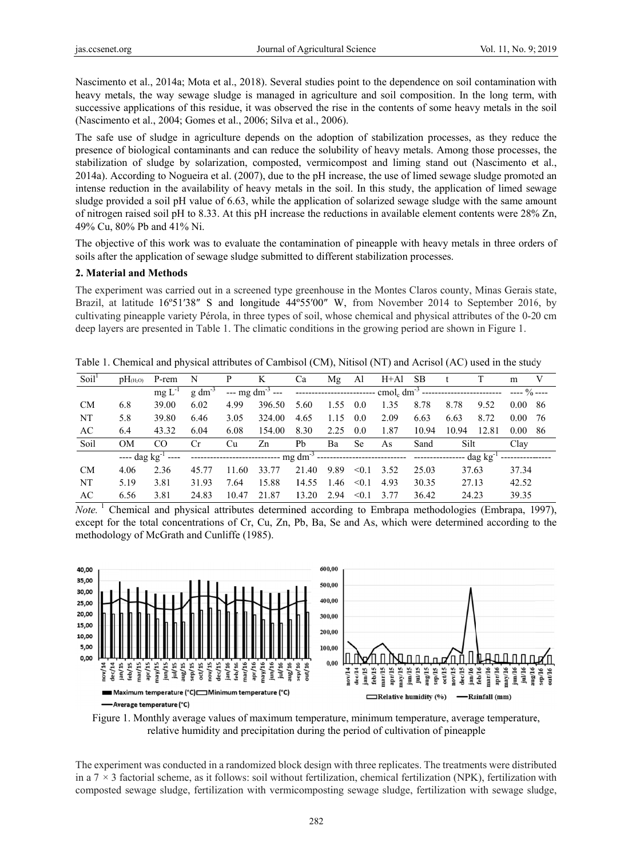Nascimento et al., 2014a; Mota et al., 2018). Several studies point to the dependence on soil contamination with heavy metals, the way sewage sludge is managed in agriculture and soil composition. In the long term, with successive applications of this residue, it was observed the rise in the contents of some heavy metals in the soil (Nascimento et al., 2004; Gomes et al., 2006; Silva et al., 2006).

The safe use of sludge in agriculture depends on the adoption of stabilization processes, as they reduce the presence of biological contaminants and can reduce the solubility of heavy metals. Among those processes, the stabilization of sludge by solarization, composted, vermicompost and liming stand out (Nascimento et al., 2014a). According to Nogueira et al. (2007), due to the pH increase, the use of limed sewage sludge promoted an intense reduction in the availability of heavy metals in the soil. In this study, the application of limed sewage sludge provided a soil pH value of 6.63, while the application of solarized sewage sludge with the same amount of nitrogen raised soil pH to 8.33. At this pH increase the reductions in available element contents were 28% Zn, 49% Cu, 80% Pb and 41% Ni.

The objective of this work was to evaluate the contamination of pineapple with heavy metals in three orders of soils after the application of sewage sludge submitted to different stabilization processes.

## 2. Material and Methods

The experiment was carried out in a screened type greenhouse in the Montes Claros county, Minas Gerais state, Brazil, at latitude 16°51'38" S and longitude 44°55'00" W, from November 2014 to September 2016, by cultivating pineapple variety Pérola, in three types of soil, whose chemical and physical attributes of the 0-20 cm deep layers are presented in Table 1. The climatic conditions in the growing period are shown in Figure 1.

Table 1. Chemical and physical attributes of Cambisol (CM), Nitisol (NT) and Acrisol (AC) used in the study

| pH <sub>(H<sub>2</sub>O)</sub> | P-rem      | N              | P     | K      | Ca    | Mg   | Al        | H+Al | SB    |       |       | m                               | V    |
|--------------------------------|------------|----------------|-------|--------|-------|------|-----------|------|-------|-------|-------|---------------------------------|------|
|                                | $mgL^{-1}$ | $g \, dm^{-3}$ |       |        |       |      |           |      |       |       |       | $--- 9/0 ---$                   |      |
| 6.8                            | 39.00      | 6.02           | 4.99  | 396.50 | 5.60  | 1.55 | 0.0       | 1.35 | 8.78  | 8.78  | 9.52  | $0.00\ 86$                      |      |
| 5.8                            | 39.80      | 6.46           | 3.05  | 324.00 | 4.65  | 1.15 | 0.0       | 2.09 | 6.63  | 6.63  | 8.72  | $0.00\,$                        | - 76 |
| 6.4                            | 43.32      | 6.04           | 6.08  | 154.00 | 8.30  | 2.25 | 0.0       | 1.87 | 10.94 | 10.94 | 12.81 | 0.00                            | - 86 |
| <b>OM</b>                      | CO         | Cr             | Cu    | Zn     | Pb    | Ba   | <b>Se</b> | As   | Sand  |       |       | Clay                            |      |
|                                |            |                |       |        |       |      |           |      |       |       |       |                                 |      |
| 4.06                           | 2.36       | 45.77          | 11.60 | 33.77  | 21.40 | 9.89 | < 0.1     | 3.52 | 25.03 |       |       | 37.34                           |      |
| 5.19                           | 3.81       | 31.93          | 7.64  | 15.88  | 14.55 | 1.46 | < 0.1     | 4.93 | 30.35 |       |       | 42.52                           |      |
| 6.56                           | 3.81       | 24.83          | 10.47 | 21.87  | 13.20 | 2.94 | < 0.1     | 3.77 | 36.42 |       |       | 39.35                           |      |
|                                |            |                |       |        |       |      |           |      |       |       |       | Silt<br>37.63<br>27.13<br>24.23 |      |

*Note.* <sup>1</sup> Chemical and physical attributes determined according to Embrapa methodologies (Embrapa, 1997), except for the total concentrations of Cr, Cu, Zn, Pb, Ba, Se and As, which were determined according to the methodology of McGrath and Cunliffe (1985).



Figure 1. Monthly average values of maximum temperature, minimum temperature, average temperature, relative humidity and precipitation during the period of cultivation of pineapple

The experiment was conducted in a randomized block design with three replicates. The treatments were distributed in a  $7 \times 3$  factorial scheme, as it follows: soil without fertilization, chemical fertilization (NPK), fertilization with composted sewage sludge, fertilization with vermicomposting sewage sludge, fertilization with sewage sludge,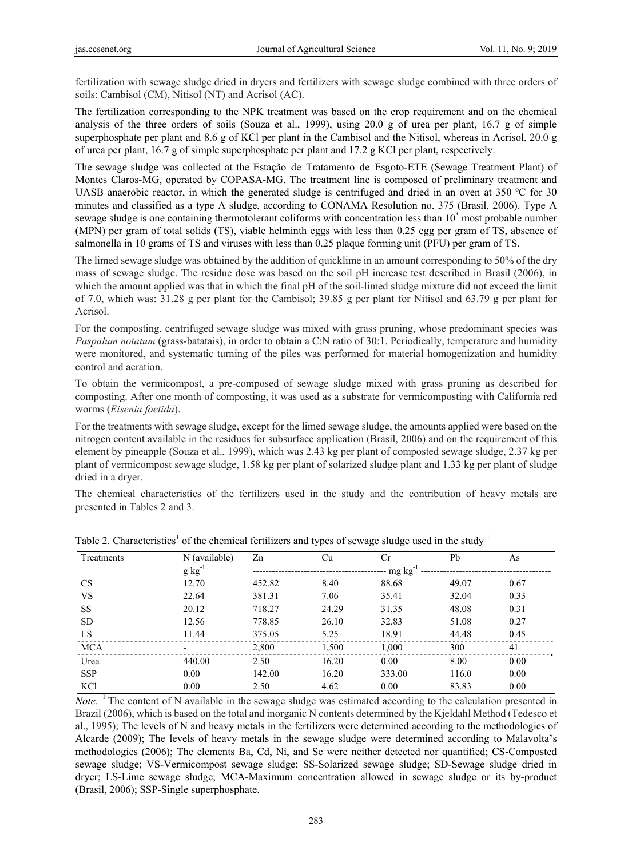fertilization with sewage sludge dried in dryers and fertilizers with sewage sludge combined with three orders of soils: Cambisol (CM), Nitisol (NT) and Acrisol (AC).

The fertilization corresponding to the NPK treatment was based on the crop requirement and on the chemical analysis of the three orders of soils (Souza et al., 1999), using 20.0 g of urea per plant, 16.7 g of simple superphosphate per plant and 8.6 g of KCl per plant in the Cambisol and the Nitisol, whereas in Acrisol, 20.0 g of urea per plant, 16.7 g of simple superphosphate per plant and 17.2 g KCl per plant, respectively.

The sewage sludge was collected at the Estação de Tratamento de Esgoto-ETE (Sewage Treatment Plant) of Montes Claros-MG, operated by COPASA-MG. The treatment line is composed of preliminary treatment and UASB anaerobic reactor, in which the generated sludge is centrifuged and dried in an oven at 350 °C for 30 minutes and classified as a type A sludge, according to CONAMA Resolution no. 375 (Brasil, 2006). Type A sewage sludge is one containing thermotolerant coliforms with concentration less than  $10<sup>3</sup>$  most probable number (MPN) per gram of total solids (TS), viable helminth eggs with less than 0.25 egg per gram of TS, absence of salmonella in 10 grams of TS and viruses with less than 0.25 plaque forming unit (PFU) per gram of TS.

The limed sewage sludge was obtained by the addition of quicklime in an amount corresponding to 50% of the dry mass of sewage sludge. The residue dose was based on the soil pH increase test described in Brasil (2006), in which the amount applied was that in which the final pH of the soil-limed sludge mixture did not exceed the limit of 7.0, which was: 31.28 g per plant for the Cambisol; 39.85 g per plant for Nitisol and 63.79 g per plant for Acrisol.

For the composting, centrifuged sewage sludge was mixed with grass pruning, whose predominant species was *Paspalum notatum* (grass-batatais), in order to obtain a C:N ratio of 30:1. Periodically, temperature and humidity were monitored, and systematic turning of the piles was performed for material homogenization and humidity control and aeration.

To obtain the vermicompost, a pre-composed of sewage sludge mixed with grass pruning as described for composting. After one month of composting, it was used as a substrate for vermicomposting with California red worms (*Eisenia foetida*).

For the treatments with sewage sludge, except for the limed sewage sludge, the amounts applied were based on the nitrogen content available in the residues for subsurface application (Brasil, 2006) and on the requirement of this element by pineapple (Souza et al., 1999), which was 2.43 kg per plant of composted sewage sludge, 2.37 kg per plant of vermicompost sewage sludge, 1.58 kg per plant of solarized sludge plant and 1.33 kg per plant of sludge dried in a dryer.

The chemical characteristics of the fertilizers used in the study and the contribution of heavy metals are presented in Tables 2 and 3.

|            |               |        | . .   |        | $\tilde{\phantom{a}}$ |      |
|------------|---------------|--------|-------|--------|-----------------------|------|
| Treatments | N (available) | Zn     | Cu    | Cr     | Pb                    | As   |
|            | $g kg^{-1}$   |        |       | mg kg  |                       |      |
| <b>CS</b>  | 12.70         | 452.82 | 8.40  | 88.68  | 49.07                 | 0.67 |
| <b>VS</b>  | 22.64         | 381.31 | 7.06  | 35.41  | 32.04                 | 0.33 |
| <b>SS</b>  | 20.12         | 718.27 | 24.29 | 31.35  | 48.08                 | 0.31 |
| <b>SD</b>  | 12.56         | 778.85 | 26.10 | 32.83  | 51.08                 | 0.27 |
| LS         | 11.44         | 375.05 | 5.25  | 18.91  | 44.48                 | 0.45 |
| <b>MCA</b> |               | 2,800  | 1,500 | 1,000  | 300                   | 41   |
| Urea       | 440.00        | 2.50   | 16.20 | 0.00   | 8.00                  | 0.00 |
| <b>SSP</b> | 0.00          | 142.00 | 16.20 | 333.00 | 116.0                 | 0.00 |
| <b>KCl</b> | 0.00          | 2.50   | 4.62  | 0.00   | 83.83                 | 0.00 |

Table 2. Characteristics<sup>1</sup> of the chemical fertilizers and types of sewage sludge used in the study  $1$ 

*Note.* <sup>1</sup> The content of N available in the sewage sludge was estimated according to the calculation presented in Brazil (2006), which is based on the total and inorganic N contents determined by the Kjeldahl Method (Tedesco et al., 1995); The levels of N and heavy metals in the fertilizers were determined according to the methodologies of Alcarde (2009); The levels of heavy metals in the sewage sludge were determined according to Malavolta's methodologies (2006); The elements Ba, Cd, Ni, and Se were neither detected nor quantified; CS-Composted sewage sludge; VS-Vermicompost sewage sludge; SS-Solarized sewage sludge; SD-Sewage sludge dried in dryer; LS-Lime sewage sludge; MCA-Maximum concentration allowed in sewage sludge or its by-product (Brasil, 2006); SSP-Single superphosphate.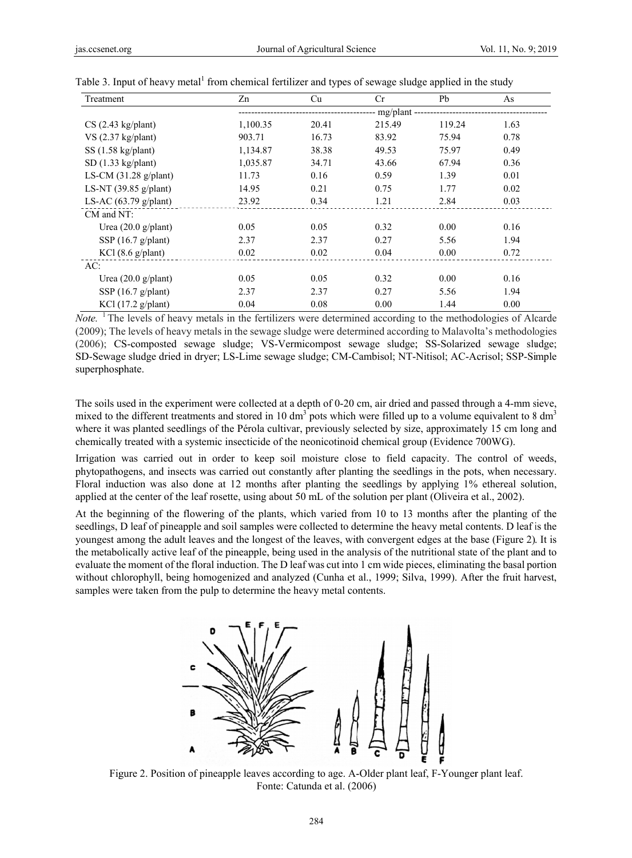| Treatment                       | Zn       | Cu    | Cr          | Pb     | As   |
|---------------------------------|----------|-------|-------------|--------|------|
|                                 |          |       | $mg$ /plant |        |      |
| $CS$ (2.43 kg/plant)            | 1,100.35 | 20.41 | 215.49      | 119.24 | 1.63 |
| VS $(2.37 \text{ kg/plant})$    | 903.71   | 16.73 | 83.92       | 75.94  | 0.78 |
| $SS(1.58 \text{ kg/plant})$     | 1,134.87 | 38.38 | 49.53       | 75.97  | 0.49 |
| $SD(1.33 \text{ kg/plant})$     | 1,035.87 | 34.71 | 43.66       | 67.94  | 0.36 |
| LS-CM $(31.28 \text{ g/plant})$ | 11.73    | 0.16  | 0.59        | 1.39   | 0.01 |
| LS-NT $(39.85 \text{ g/plant})$ | 14.95    | 0.21  | 0.75        | 1.77   | 0.02 |
| LS-AC $(63.79 \text{ g/plant})$ | 23.92    | 0.34  | 1.21        | 2.84   | 0.03 |
| $CM$ and NT:                    |          |       |             |        |      |
| Urea $(20.0 g/\text{plant})$    | 0.05     | 0.05  | 0.32        | 0.00   | 0.16 |
| SSP $(16.7 \text{ g/plant})$    | 2.37     | 2.37  | 0.27        | 5.56   | 1.94 |
| $KCl$ (8.6 g/plant)             | 0.02     | 0.02  | 0.04        | 0.00   | 0.72 |
| AC:                             |          |       |             |        |      |
| Urea $(20.0 \text{ g/plant})$   | 0.05     | 0.05  | 0.32        | 0.00   | 0.16 |
| SSP $(16.7 \text{ g/plant})$    | 2.37     | 2.37  | 0.27        | 5.56   | 1.94 |
| KCl $(17.2 \text{ g/plant})$    | 0.04     | 0.08  | 0.00        | 1.44   | 0.00 |

Table 3. Input of heavy metal<sup>1</sup> from chemical fertilizer and types of sewage sludge applied in the study

*Note.* <sup>1</sup> The levels of heavy metals in the fertilizers were determined according to the methodologies of Alcarde (2009); The levels of heavy metals in the sewage sludge were determined according to Malavolta's methodologies (2006); CS-composted sewage sludge; VS-Vermicompost sewage sludge; SS-Solarized sewage sludge; SD-Sewage sludge dried in dryer; LS-Lime sewage sludge; CM-Cambisol; NT-Nitisol; AC-Acrisol; SSP-Simple superphosphate.

The soils used in the experiment were collected at a depth of 0-20 cm, air dried and passed through a 4-mm sieve, mixed to the different treatments and stored in 10 dm<sup>3</sup> pots which were filled up to a volume equivalent to 8 dm<sup>3</sup> where it was planted seedlings of the Pérola cultivar, previously selected by size, approximately 15 cm long and chemically treated with a systemic insecticide of the neonicotinoid chemical group (Evidence 700WG).

Irrigation was carried out in order to keep soil moisture close to field capacity. The control of weeds, phytopathogens, and insects was carried out constantly after planting the seedlings in the pots, when necessary. Floral induction was also done at 12 months after planting the seedlings by applying 1% ethereal solution, applied at the center of the leaf rosette, using about 50 mL of the solution per plant (Oliveira et al., 2002).

At the beginning of the flowering of the plants, which varied from 10 to 13 months after the planting of the seedlings, D leaf of pineapple and soil samples were collected to determine the heavy metal contents. D leaf is the youngest among the adult leaves and the longest of the leaves, with convergent edges at the base (Figure 2). It is the metabolically active leaf of the pineapple, being used in the analysis of the nutritional state of the plant and to evaluate the moment of the floral induction. The D leaf was cut into 1 cm wide pieces, eliminating the basal portion without chlorophyll, being homogenized and analyzed (Cunha et al., 1999; Silva, 1999). After the fruit harvest, samples were taken from the pulp to determine the heavy metal contents.



Figure 2. Position of pineapple leaves according to age. A-Older plant leaf, F-Younger plant leaf. Fonte: Catunda et al. (2006)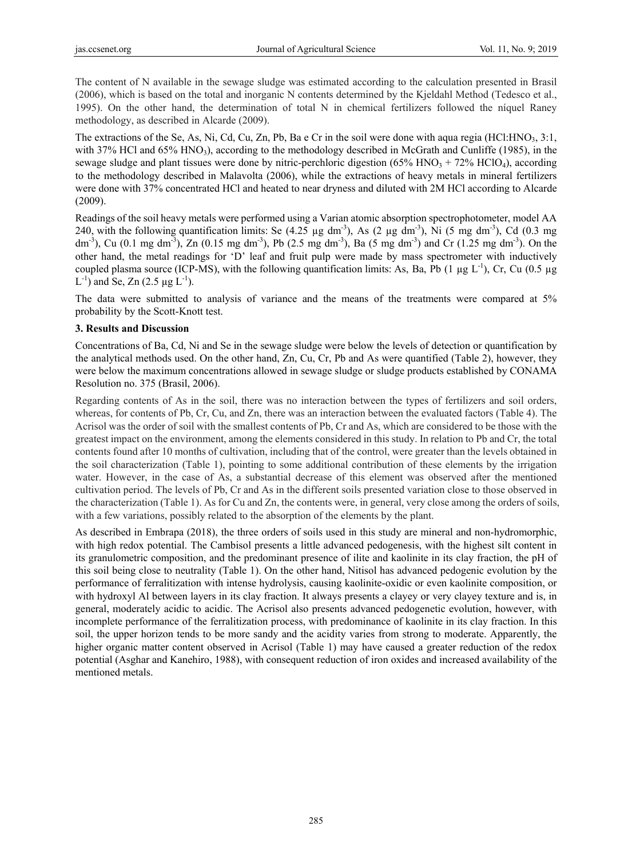The content of N available in the sewage sludge was estimated according to the calculation presented in Brasil (2006), which is based on the total and inorganic N contents determined by the Kjeldahl Method (Tedesco et al., 1995). On the other hand, the determination of total N in chemical fertilizers followed the níquel Raney methodology, as described in Alcarde (2009).

The extractions of the Se, As, Ni, Cd, Cu, Zn, Pb, Ba e Cr in the soil were done with aqua regia (HCl:HNO $_3$ , 3:1, with 37% HCl and 65% HNO<sub>3</sub>), according to the methodology described in McGrath and Cunliffe (1985), in the sewage sludge and plant tissues were done by nitric-perchloric digestion (65% HNO<sub>3</sub> + 72% HClO<sub>4</sub>), according to the methodology described in Malavolta (2006), while the extractions of heavy metals in mineral fertilizers were done with 37% concentrated HCl and heated to near dryness and diluted with 2M HCl according to Alcarde (2009).

Readings of the soil heavy metals were performed using a Varian atomic absorption spectrophotometer, model AA 240, with the following quantification limits: Se  $(4.25 \mu g dm<sup>-3</sup>)$ , As  $(2 \mu g dm<sup>-3</sup>)$ , Ni  $(5 \mu g dm<sup>-3</sup>)$ , Cd  $(0.3 \mu g dm<sup>-3</sup>)$ dm<sup>-3</sup>), Cu (0.1 mg dm<sup>-3</sup>), Zn (0.15 mg dm<sup>-3</sup>), Pb (2.5 mg dm<sup>-3</sup>), Ba (5 mg dm<sup>-3</sup>) and Cr (1.25 mg dm<sup>-3</sup>). On the other hand, the metal readings for 'D' leaf and fruit pulp were made by mass spectrometer with inductively coupled plasma source (ICP-MS), with the following quantification limits: As, Ba, Pb (1  $\mu$ g L<sup>-1</sup>), Cr, Cu (0.5  $\mu$ g  $L^{-1}$ ) and Se, Zn (2.5 µg  $L^{-1}$ ).

The data were submitted to analysis of variance and the means of the treatments were compared at 5% probability by the Scott-Knott test.

## **3. Results and Discussion**

Concentrations of Ba, Cd, Ni and Se in the sewage sludge were below the levels of detection or quantification by the analytical methods used. On the other hand, Zn, Cu, Cr, Pb and As were quantified (Table 2), however, they were below the maximum concentrations allowed in sewage sludge or sludge products established by CONAMA Resolution no. 375 (Brasil, 2006).

Regarding contents of As in the soil, there was no interaction between the types of fertilizers and soil orders, whereas, for contents of Pb, Cr, Cu, and Zn, there was an interaction between the evaluated factors (Table 4). The Acrisol was the order of soil with the smallest contents of Pb, Cr and As, which are considered to be those with the greatest impact on the environment, among the elements considered in this study. In relation to Pb and Cr, the total contents found after 10 months of cultivation, including that of the control, were greater than the levels obtained in the soil characterization (Table 1), pointing to some additional contribution of these elements by the irrigation water. However, in the case of As, a substantial decrease of this element was observed after the mentioned cultivation period. The levels of Pb, Cr and As in the different soils presented variation close to those observed in the characterization (Table 1). As for Cu and Zn, the contents were, in general, very close among the orders of soils, with a few variations, possibly related to the absorption of the elements by the plant.

As described in Embrapa (2018), the three orders of soils used in this study are mineral and non-hydromorphic, with high redox potential. The Cambisol presents a little advanced pedogenesis, with the highest silt content in its granulometric composition, and the predominant presence of ilite and kaolinite in its clay fraction, the pH of this soil being close to neutrality (Table 1). On the other hand, Nitisol has advanced pedogenic evolution by the performance of ferralitization with intense hydrolysis, causing kaolinite-oxidic or even kaolinite composition, or with hydroxyl Al between layers in its clay fraction. It always presents a clayey or very clayey texture and is, in general, moderately acidic to acidic. The Acrisol also presents advanced pedogenetic evolution, however, with incomplete performance of the ferralitization process, with predominance of kaolinite in its clay fraction. In this soil, the upper horizon tends to be more sandy and the acidity varies from strong to moderate. Apparently, the higher organic matter content observed in Acrisol (Table 1) may have caused a greater reduction of the redox potential (Asghar and Kanehiro, 1988), with consequent reduction of iron oxides and increased availability of the mentioned metals.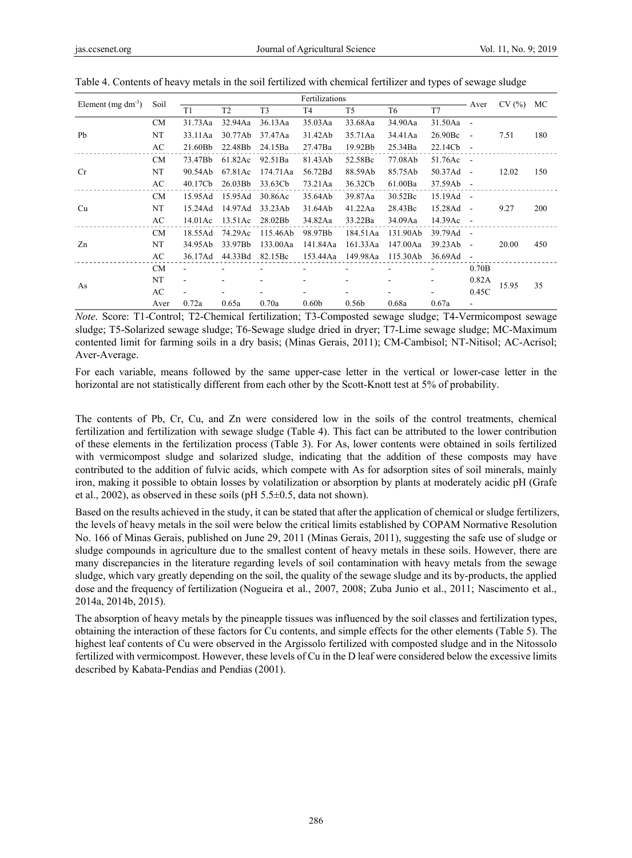| Element $(mg dm^{-3})$ | Soil      | Fertilizations |                |                |                   |                   |          |         | Aver                     | CV(%) | МC         |
|------------------------|-----------|----------------|----------------|----------------|-------------------|-------------------|----------|---------|--------------------------|-------|------------|
|                        |           | T <sub>1</sub> | T <sub>2</sub> | T <sub>3</sub> | T4                | T <sub>5</sub>    | T6       | T7      |                          |       |            |
|                        | <b>CM</b> | 31.73Aa        | 32.94Aa        | 36.13Aa        | 35.03Aa           | 33.68Aa           | 34.90Aa  | 31.50Aa | $\overline{\phantom{a}}$ |       |            |
| Pb                     | NT        | 33.11Aa        | 30.77Ab        | 37.47Aa        | 31.42Ab           | 35.71Aa           | 34.41Aa  | 26.90Bc | $\overline{\phantom{a}}$ | 7.51  | 180        |
|                        | AC        | 21.60Bb        | 22.48Bb        | 24.15Ba        | 27.47Ba           | 19.92Bb           | 25.34Ba  | 22.14Cb | $\overline{\phantom{a}}$ |       |            |
|                        | <b>CM</b> | 73.47Bb        | 61.82Ac        | 92.51Ba        | 81.43Ab           | 52.58Bc           | 77.08Ab  | 51.76Ac | $\sim$                   |       |            |
| <b>Cr</b>              | NT        | 90.54Ab        | 67.81Ac        | 174.71Aa       | 56.72Bd           | 88.59Ab           | 85.75Ab  | 50.37Ad | $\overline{\phantom{a}}$ | 12.02 | 150        |
|                        | AC        | 40.17Cb        | 26.03Bb        | 33.63Cb        | 73.21Aa           | 36.32Cb           | 61.00Ba  | 37.59Ab | $\overline{\phantom{a}}$ |       |            |
|                        | <b>CM</b> | 15.95Ad        | 15.95Ad        | 30.86Ac        | 35.64Ab           | 39.87Aa           | 30.52Bc  | 15.19Ad | $\overline{\phantom{a}}$ |       |            |
| Cu                     | NT        | 15.24Ad        | 14.97Ad        | 33.23Ab        | 31.64Ab           | 41.22Aa           | 28.43Bc  | 15.28Ad | $\blacksquare$           | 9.27  | <b>200</b> |
|                        | AC        | 14.01Ac        | 13.51Ac        | 28.02Bb        | 34.82Aa           | 33.22Ba           | 34.09Aa  | 14.39Ac | $\sim$                   |       |            |
|                        | <b>CM</b> | 18.55Ad        | 74.29Ac        | 115.46Ab       | 98.97Bb           | 184.51Aa          | 131.90Ab | 39.79Ad | $\blacksquare$           |       |            |
| Zn                     | NT        | 34.95Ab        | 33.97Bb        | 133.00Aa       | 141.84Aa          | 161.33Aa          | 147.00Aa | 39.23Ab | $\overline{\phantom{a}}$ | 20.00 | 450        |
|                        | AC        | 36.17Ad        | 44.33Bd        | 82.15Bc        | 153.44Aa          | 149.98Aa          | 115.30Ab | 36.69Ad | $\overline{\phantom{a}}$ |       |            |
|                        | <b>CM</b> |                |                |                |                   |                   |          |         | 0.70B                    |       |            |
| As                     | NT        |                |                |                |                   |                   |          |         | 0.82A                    | 15.95 | 35         |
|                        | AC        |                |                |                | -                 |                   |          |         | 0.45C                    |       |            |
|                        | Aver      | 0.72a          | 0.65a          | 0.70a          | 0.60 <sub>b</sub> | 0.56 <sub>b</sub> | 0.68a    | 0.67a   | ۰                        |       |            |

Table 4. Contents of heavy metals in the soil fertilized with chemical fertilizer and types of sewage sludge

*Note*. Score: T1-Control; T2-Chemical fertilization; T3-Composted sewage sludge; T4-Vermicompost sewage sludge; T5-Solarized sewage sludge; T6-Sewage sludge dried in dryer; T7-Lime sewage sludge; MC-Maximum contented limit for farming soils in a dry basis; (Minas Gerais, 2011); CM-Cambisol; NT-Nitisol; AC-Acrisol; Aver-Average.

For each variable, means followed by the same upper-case letter in the vertical or lower-case letter in the horizontal are not statistically different from each other by the Scott-Knott test at 5% of probability.

The contents of Pb, Cr, Cu, and Zn were considered low in the soils of the control treatments, chemical fertilization and fertilization with sewage sludge (Table 4). This fact can be attributed to the lower contribution of these elements in the fertilization process (Table 3). For As, lower contents were obtained in soils fertilized with vermicompost sludge and solarized sludge, indicating that the addition of these composts may have contributed to the addition of fulvic acids, which compete with As for adsorption sites of soil minerals, mainly iron, making it possible to obtain losses by volatilization or absorption by plants at moderately acidic pH (Grafe et al., 2002), as observed in these soils (pH 5.5±0.5, data not shown).

Based on the results achieved in the study, it can be stated that after the application of chemical or sludge fertilizers, the levels of heavy metals in the soil were below the critical limits established by COPAM Normative Resolution No. 166 of Minas Gerais, published on June 29, 2011 (Minas Gerais, 2011), suggesting the safe use of sludge or sludge compounds in agriculture due to the smallest content of heavy metals in these soils. However, there are many discrepancies in the literature regarding levels of soil contamination with heavy metals from the sewage sludge, which vary greatly depending on the soil, the quality of the sewage sludge and its by-products, the applied dose and the frequency of fertilization (Nogueira et al., 2007, 2008; Zuba Junio et al., 2011; Nascimento et al., 2014a, 2014b, 2015).

The absorption of heavy metals by the pineapple tissues was influenced by the soil classes and fertilization types, obtaining the interaction of these factors for Cu contents, and simple effects for the other elements (Table 5). The highest leaf contents of Cu were observed in the Argissolo fertilized with composted sludge and in the Nitossolo fertilized with vermicompost. However, these levels of Cu in the D leaf were considered below the excessive limits described by Kabata-Pendias and Pendias (2001).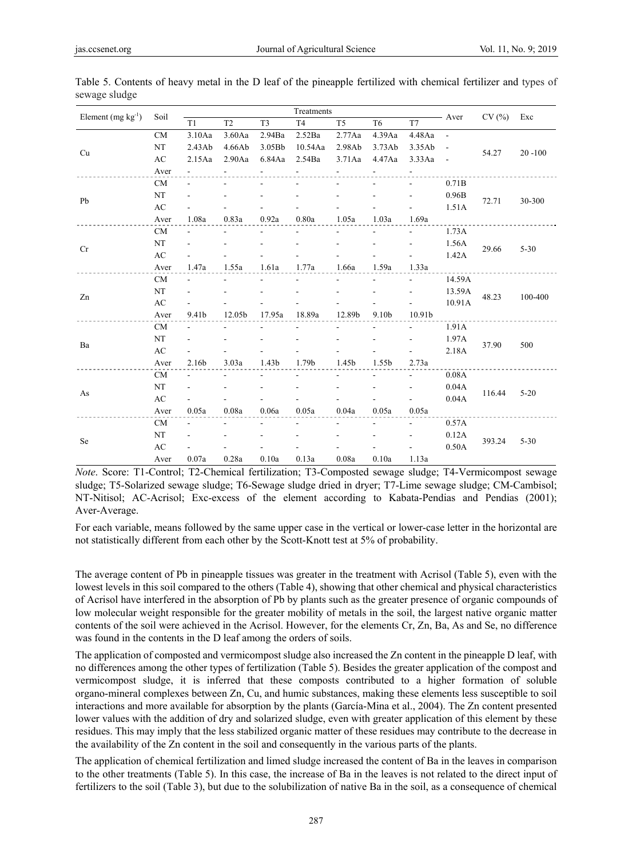| Element $(mg kg^{-1})$ | Soil                   | Treatments               |                |                |                |                |                          |                          |                |        | Exc        |
|------------------------|------------------------|--------------------------|----------------|----------------|----------------|----------------|--------------------------|--------------------------|----------------|--------|------------|
|                        |                        | T1                       | T <sub>2</sub> | T <sub>3</sub> | T <sub>4</sub> | T <sub>5</sub> | T <sub>6</sub>           | T7                       | - Aver         | CV(%)  |            |
|                        | CM                     | 3.10Aa                   | 3.60Aa         | 2.94Ba         | 2.52Ba         | 2.77Aa         | 4.39Aa                   | 4.48Aa                   | $\overline{a}$ |        |            |
| Cu                     | NT                     | 2.43Ab                   | 4.66Ab         | 3.05Bb         | 10.54Aa        | 2.98Ab         | 3.73Ab                   | 3.35Ab                   | $\blacksquare$ | 54.27  | $20 - 100$ |
|                        | $\mathbf{A}\mathbf{C}$ | 2.15Aa                   | 2.90Aa         | 6.84Aa         | 2.54Ba         | 3.71Aa         | 4.47Aa                   | 3.33Aa                   | $\overline{a}$ |        |            |
|                        | Aver                   |                          |                |                |                |                |                          |                          |                |        |            |
|                        | CM                     | $\overline{\phantom{a}}$ |                |                |                |                |                          | $\blacksquare$           | 0.71B          |        |            |
| Pb                     | NT                     |                          |                |                |                |                |                          |                          | 0.96B          | 72.71  | 30-300     |
|                        | AC                     |                          |                |                |                |                |                          |                          | 1.51A          |        |            |
|                        | Aver                   | 1.08a                    | 0.83a          | 0.92a          | 0.80a          | 1.05a          | 1.03a                    | 1.69a                    |                |        |            |
|                        | $\rm CM$               | $\overline{a}$           | $\overline{a}$ |                |                |                | ÷.                       | $\overline{\phantom{0}}$ | 1.73A          |        |            |
| Cr                     | NT                     |                          |                |                |                |                | $\overline{\phantom{a}}$ | $\overline{a}$           | 1.56A          | 29.66  | $5 - 30$   |
|                        | $\mathbf{A}\mathbf{C}$ |                          |                |                |                |                |                          |                          | 1.42A          |        |            |
|                        | Aver                   | 1.47a                    | 1.55a          | 1.61a          | 1.77a          | 1.66a          | 1.59a                    | 1.33a                    |                |        |            |
|                        | CM                     | $\overline{\phantom{a}}$ |                |                |                |                | ÷.                       | $\sim$                   | 14.59A         | 48.23  | 100-400    |
| Zn                     | NT                     | $\overline{\phantom{a}}$ |                |                |                |                | $\blacksquare$           | $\blacksquare$           | 13.59A         |        |            |
|                        | AC                     |                          |                |                |                |                |                          |                          | 10.91A         |        |            |
|                        | Aver                   | 9.41b                    | 12.05b         | 17.95a         | 18.89a         | 12.89b         | 9.10b                    | 10.91b                   |                |        |            |
|                        | CM                     | $\overline{a}$           |                |                |                |                |                          | $\mathbf{r}$             | 1.91A          |        |            |
| Ba                     | NT                     | $\overline{\phantom{a}}$ |                |                |                |                |                          | $\overline{\phantom{a}}$ | 1.97A          | 37.90  | 500        |
|                        | AC                     |                          |                |                |                |                |                          | $\overline{a}$           | 2.18A          |        |            |
|                        | Aver                   | 2.16b                    | 3.03a          | 1.43b          | 1.79b          | 1.45b          | 1.55b                    | 2.73a                    |                |        |            |
|                        | CM                     |                          |                |                |                |                |                          | $\blacksquare$           | 0.08A          |        |            |
| As                     | NT                     |                          |                |                |                |                |                          | $\frac{1}{2}$            | 0.04A          | 116.44 | $5 - 20$   |
|                        | AC                     |                          |                |                |                |                |                          |                          | 0.04A          |        |            |
|                        | Aver                   | 0.05a                    | 0.08a          | 0.06a          | 0.05a          | 0.04a          | 0.05a                    | 0.05a                    |                |        |            |
|                        | <b>CM</b>              |                          |                |                |                |                |                          |                          | 0.57A          |        |            |
| Se                     | NT                     |                          |                |                |                |                |                          | $\overline{\phantom{a}}$ | 0.12A          | 393.24 | $5 - 30$   |
|                        | AC                     |                          |                |                |                |                |                          |                          | 0.50A          |        |            |
|                        | Aver                   | 0.07a                    | 0.28a          | 0.10a          | 0.13a          | 0.08a          | 0.10a                    | 1.13a                    |                |        |            |

Table 5. Contents of heavy metal in the D leaf of the pineapple fertilized with chemical fertilizer and types of sewage sludge

*Note*. Score: T1-Control; T2-Chemical fertilization; T3-Composted sewage sludge; T4-Vermicompost sewage sludge; T5-Solarized sewage sludge; T6-Sewage sludge dried in dryer; T7-Lime sewage sludge; CM-Cambisol; NT-Nitisol; AC-Acrisol; Exc-excess of the element according to Kabata-Pendias and Pendias (2001); Aver-Average.

For each variable, means followed by the same upper case in the vertical or lower-case letter in the horizontal are not statistically different from each other by the Scott-Knott test at 5% of probability.

The average content of Pb in pineapple tissues was greater in the treatment with Acrisol (Table 5), even with the lowest levels in this soil compared to the others (Table 4), showing that other chemical and physical characteristics of Acrisol have interfered in the absorption of Pb by plants such as the greater presence of organic compounds of low molecular weight responsible for the greater mobility of metals in the soil, the largest native organic matter contents of the soil were achieved in the Acrisol. However, for the elements Cr, Zn, Ba, As and Se, no difference was found in the contents in the D leaf among the orders of soils.

The application of composted and vermicompost sludge also increased the Zn content in the pineapple D leaf, with no differences among the other types of fertilization (Table 5). Besides the greater application of the compost and vermicompost sludge, it is inferred that these composts contributed to a higher formation of soluble organo-mineral complexes between Zn, Cu, and humic substances, making these elements less susceptible to soil interactions and more available for absorption by the plants (García-Mina et al., 2004). The Zn content presented lower values with the addition of dry and solarized sludge, even with greater application of this element by these residues. This may imply that the less stabilized organic matter of these residues may contribute to the decrease in the availability of the Zn content in the soil and consequently in the various parts of the plants.

The application of chemical fertilization and limed sludge increased the content of Ba in the leaves in comparison to the other treatments (Table 5). In this case, the increase of Ba in the leaves is not related to the direct input of fertilizers to the soil (Table 3), but due to the solubilization of native Ba in the soil, as a consequence of chemical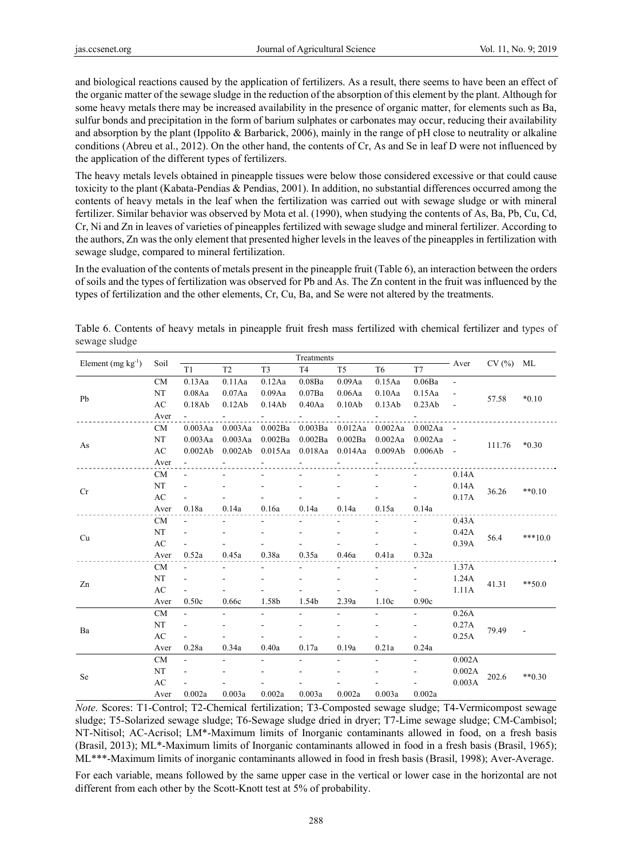and biological reactions caused by the application of fertilizers. As a result, there seems to have been an effect of the organic matter of the sewage sludge in the reduction of the absorption of this element by the plant. Although for some heavy metals there may be increased availability in the presence of organic matter, for elements such as Ba, sulfur bonds and precipitation in the form of barium sulphates or carbonates may occur, reducing their availability and absorption by the plant (Ippolito & Barbarick, 2006), mainly in the range of pH close to neutrality or alkaline conditions (Abreu et al., 2012). On the other hand, the contents of Cr, As and Se in leaf D were not influenced by the application of the different types of fertilizers.

The heavy metals levels obtained in pineapple tissues were below those considered excessive or that could cause toxicity to the plant (Kabata-Pendias & Pendias, 2001). In addition, no substantial differences occurred among the contents of heavy metals in the leaf when the fertilization was carried out with sewage sludge or with mineral fertilizer. Similar behavior was observed by Mota et al. (1990), when studying the contents of As, Ba, Pb, Cu, Cd, Cr, Ni and Zn in leaves of varieties of pineapples fertilized with sewage sludge and mineral fertilizer. According to the authors, Zn was the only element that presented higher levels in the leaves of the pineapples in fertilization with sewage sludge, compared to mineral fertilization.

In the evaluation of the contents of metals present in the pineapple fruit (Table 6), an interaction between the orders of soils and the types of fertilization was observed for Pb and As. The Zn content in the fruit was influenced by the types of fertilization and the other elements, Cr, Cu, Ba, and Se were not altered by the treatments.

| Element $(mg kg-1)$ | Soil      | Treatments     |                |                    |                |                         |                 |             |                          | $CV(%)$ ML |            |
|---------------------|-----------|----------------|----------------|--------------------|----------------|-------------------------|-----------------|-------------|--------------------------|------------|------------|
|                     |           | T <sub>1</sub> | T <sub>2</sub> | T <sub>3</sub>     | T <sub>4</sub> | T <sub>5</sub>          | T <sub>6</sub>  | T7          | Aver                     |            |            |
|                     | <b>CM</b> | 0.13Aa         | 0.11Aa         | 0.12Aa             | 0.08Ba         | 0.09Aa                  | 0.15Aa          | 0.06Ba      | $\overline{\phantom{a}}$ |            |            |
| Pb                  | NT        | 0.08Aa         | 0.07Aa         | 0.09Aa             | 0.07Ba         | 0.06Aa                  | 0.10Aa          | 0.15Aa      |                          | 57.58      | $*0.10$    |
|                     | AC        | 0.18Ab         | 0.12Ab         | 0.14Ab             | 0.40Aa         | 0.10Ab                  | 0.13Ab          | 0.23Ab      |                          |            |            |
|                     | Aver      |                |                |                    |                |                         |                 |             |                          |            |            |
|                     | <b>CM</b> | 0.003Aa        | 0.003Aa        | 0.002Ba            | 0.003Ba        |                         | 0.012Aa 0.002Aa | 0.002Aa     |                          |            |            |
| As                  | NT        | 0.003Aa        | 0.003Aa        | $0.002\mathrm{Ba}$ | 0.002Ba        | $0.002\mathrm{Ba}$      | 0.002Aa         | $0.002Aa -$ |                          | 111.76     | $*0.30$    |
|                     | AC        | 0.002Ab        | 0.002Ab        | 0.015Aa            |                | 0.018Aa 0.014Aa 0.009Ab |                 | $0.006Ab -$ |                          |            |            |
|                     | Aver      |                |                |                    |                |                         |                 |             |                          |            |            |
|                     | <b>CM</b> |                |                |                    |                |                         |                 |             | 0.14A                    |            | $**0.10$   |
| Cr                  | NT        |                |                |                    |                |                         |                 |             | 0.14A                    | 36.26      |            |
|                     | AC        |                |                |                    |                |                         |                 |             | 0.17A                    |            |            |
|                     | Aver      | 0.18a          | 0.14a          | 0.16a              | 0.14a          | 0.14a                   | 0.15a           | 0.14a       |                          |            |            |
|                     | <b>CM</b> | $\overline{a}$ |                |                    |                |                         |                 |             | 0.43A                    | 56.4       |            |
| Cu                  | NT        |                |                |                    |                |                         |                 |             | 0.42A                    |            | $***10.0$  |
|                     | AC        |                |                |                    |                |                         |                 |             | 0.39A                    |            |            |
|                     | Aver      | 0.52a          | 0.45a          | 0.38a              | 0.35a          | 0.46a                   | 0.41a           | 0.32a       |                          |            |            |
|                     | <b>CM</b> | $\overline{a}$ |                |                    |                |                         |                 |             | 1.37A                    |            | $*** 50.0$ |
| Zn                  | NT        |                |                |                    |                |                         |                 |             | 1.24A                    | 41.31      |            |
|                     | AC        | $\overline{a}$ |                |                    |                |                         |                 |             | 1.11A                    |            |            |
|                     | Aver      | 0.50c          | 0.66c          | 1.58b              | 1.54b          | 2.39a                   | 1.10c           | 0.90c       |                          |            |            |
|                     | <b>CM</b> | $\blacksquare$ | ۰              | $\blacksquare$     | ÷.             | ÷.                      | ÷.              | ÷.          | 0.26A                    |            |            |
| Ba                  | NT        |                |                |                    |                |                         |                 |             | 0.27A                    | 79.49      |            |
|                     | AC        | L,             |                |                    |                |                         |                 |             | 0.25A                    |            |            |
|                     | Aver      | 0.28a          | 0.34a          | 0.40a              | 0.17a          | 0.19a                   | 0.21a           | 0.24a       |                          |            |            |
|                     | <b>CM</b> | $\overline{a}$ | ٠              | ÷                  | ÷.             | ÷.                      | ÷.              | ÷.          | 0.002A                   |            |            |
|                     | NT        |                |                |                    |                |                         |                 |             | 0.002A                   |            |            |
| Se                  | AC        |                |                |                    |                |                         |                 |             | 0.003A                   | 202.6      | $***0.30$  |
|                     | Aver      | 0.002a         | 0.003a         | 0.002a             | 0.003a         | 0.002a                  | 0.003a          | 0.002a      |                          |            |            |

Table 6. Contents of heavy metals in pineapple fruit fresh mass fertilized with chemical fertilizer and types of sewage sludge

*Note*. Scores: T1-Control; T2-Chemical fertilization; T3-Composted sewage sludge; T4-Vermicompost sewage sludge; T5-Solarized sewage sludge; T6-Sewage sludge dried in dryer; T7-Lime sewage sludge; CM-Cambisol; NT-Nitisol; AC-Acrisol; LM\*-Maximum limits of Inorganic contaminants allowed in food, on a fresh basis (Brasil, 2013); ML\*-Maximum limits of Inorganic contaminants allowed in food in a fresh basis (Brasil, 1965); ML\*\*\*-Maximum limits of inorganic contaminants allowed in food in fresh basis (Brasil, 1998); Aver-Average.

For each variable, means followed by the same upper case in the vertical or lower case in the horizontal are not different from each other by the Scott-Knott test at 5% of probability.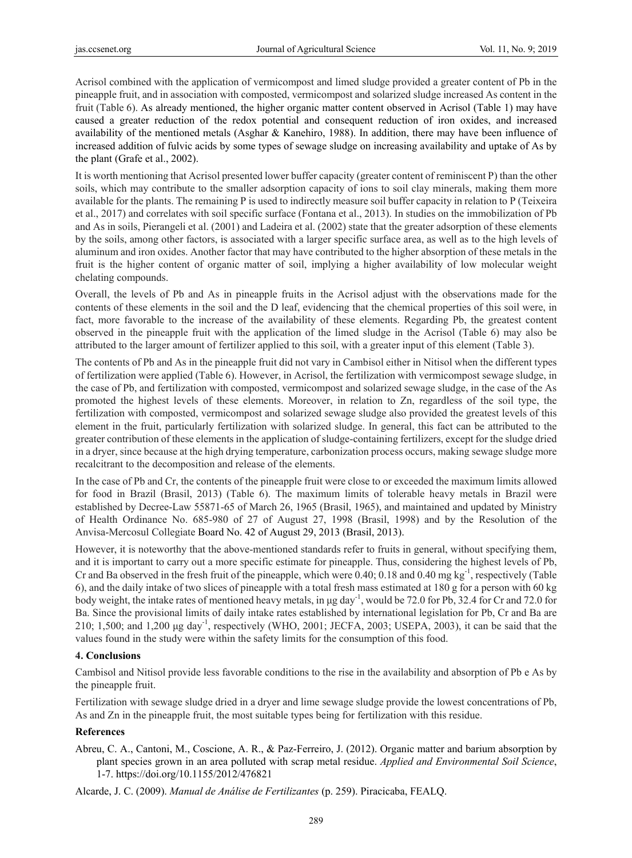Acrisol combined with the application of vermicompost and limed sludge provided a greater content of Pb in the pineapple fruit, and in association with composted, vermicompost and solarized sludge increased As content in the fruit (Table 6). As already mentioned, the higher organic matter content observed in Acrisol (Table 1) may have caused a greater reduction of the redox potential and consequent reduction of iron oxides, and increased availability of the mentioned metals (Asghar & Kanehiro, 1988). In addition, there may have been influence of increased addition of fulvic acids by some types of sewage sludge on increasing availability and uptake of As by the plant (Grafe et al., 2002).

It is worth mentioning that Acrisol presented lower buffer capacity (greater content of reminiscent P) than the other soils, which may contribute to the smaller adsorption capacity of ions to soil clay minerals, making them more available for the plants. The remaining P is used to indirectly measure soil buffer capacity in relation to P (Teixeira et al., 2017) and correlates with soil specific surface (Fontana et al., 2013). In studies on the immobilization of Pb and As in soils, Pierangeli et al. (2001) and Ladeira et al. (2002) state that the greater adsorption of these elements by the soils, among other factors, is associated with a larger specific surface area, as well as to the high levels of aluminum and iron oxides. Another factor that may have contributed to the higher absorption of these metals in the fruit is the higher content of organic matter of soil, implying a higher availability of low molecular weight chelating compounds.

Overall, the levels of Pb and As in pineapple fruits in the Acrisol adjust with the observations made for the contents of these elements in the soil and the D leaf, evidencing that the chemical properties of this soil were, in fact, more favorable to the increase of the availability of these elements. Regarding Pb, the greatest content observed in the pineapple fruit with the application of the limed sludge in the Acrisol (Table 6) may also be attributed to the larger amount of fertilizer applied to this soil, with a greater input of this element (Table 3).

The contents of Pb and As in the pineapple fruit did not vary in Cambisol either in Nitisol when the different types of fertilization were applied (Table 6). However, in Acrisol, the fertilization with vermicompost sewage sludge, in the case of Pb, and fertilization with composted, vermicompost and solarized sewage sludge, in the case of the As promoted the highest levels of these elements. Moreover, in relation to Zn, regardless of the soil type, the fertilization with composted, vermicompost and solarized sewage sludge also provided the greatest levels of this element in the fruit, particularly fertilization with solarized sludge. In general, this fact can be attributed to the greater contribution of these elements in the application of sludge-containing fertilizers, except for the sludge dried in a dryer, since because at the high drying temperature, carbonization process occurs, making sewage sludge more recalcitrant to the decomposition and release of the elements.

In the case of Pb and Cr, the contents of the pineapple fruit were close to or exceeded the maximum limits allowed for food in Brazil (Brasil, 2013) (Table 6). The maximum limits of tolerable heavy metals in Brazil were established by Decree-Law 55871-65 of March 26, 1965 (Brasil, 1965), and maintained and updated by Ministry of Health Ordinance No. 685-980 of 27 of August 27, 1998 (Brasil, 1998) and by the Resolution of the Anvisa-Mercosul Collegiate Board No. 42 of August 29, 2013 (Brasil, 2013).

However, it is noteworthy that the above-mentioned standards refer to fruits in general, without specifying them, and it is important to carry out a more specific estimate for pineapple. Thus, considering the highest levels of Pb, Cr and Ba observed in the fresh fruit of the pineapple, which were 0.40; 0.18 and 0.40 mg kg<sup>-1</sup>, respectively (Table 6), and the daily intake of two slices of pineapple with a total fresh mass estimated at 180 g for a person with 60 kg body weight, the intake rates of mentioned heavy metals, in μg day-1, would be 72.0 for Pb, 32.4 for Cr and 72.0 for Ba. Since the provisional limits of daily intake rates established by international legislation for Pb, Cr and Ba are 210; 1,500; and 1,200 μg day-1, respectively (WHO, 2001; JECFA, 2003; USEPA, 2003), it can be said that the values found in the study were within the safety limits for the consumption of this food.

### **4. Conclusions**

Cambisol and Nitisol provide less favorable conditions to the rise in the availability and absorption of Pb e As by the pineapple fruit.

Fertilization with sewage sludge dried in a dryer and lime sewage sludge provide the lowest concentrations of Pb, As and Zn in the pineapple fruit, the most suitable types being for fertilization with this residue.

## **References**

Abreu, C. A., Cantoni, M., Coscione, A. R., & Paz-Ferreiro, J. (2012). Organic matter and barium absorption by plant species grown in an area polluted with scrap metal residue. *Applied and Environmental Soil Science*, 1-7. https://doi.org/10.1155/2012/476821

Alcarde, J. C. (2009). *Manual de Análise de Fertilizantes* (p. 259). Piracicaba, FEALQ.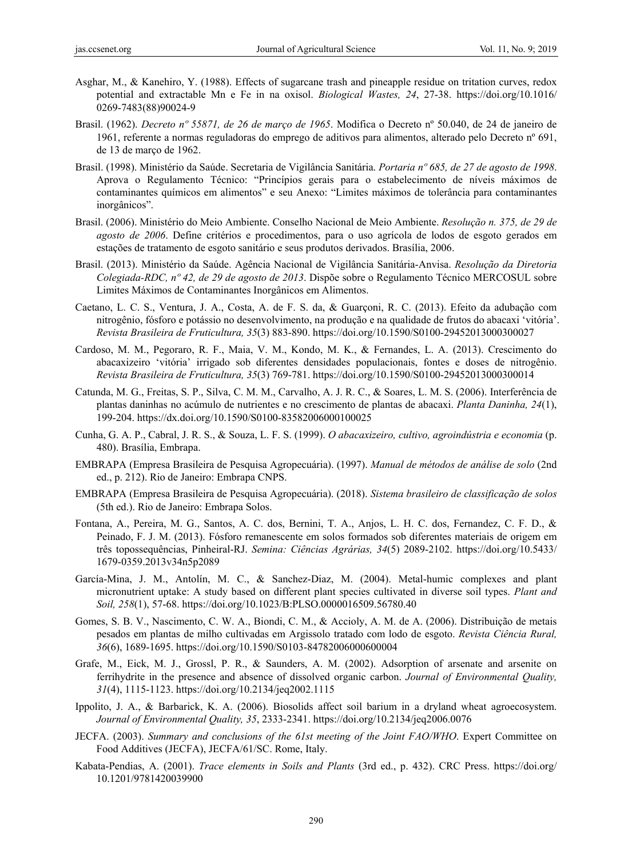- Asghar, M., & Kanehiro, Y. (1988). Effects of sugarcane trash and pineapple residue on tritation curves, redox potential and extractable Mn e Fe in na oxisol. *Biological Wastes, 24*, 27-38. https://doi.org/10.1016/ 0269-7483(88)90024-9
- Brasil. (1962). *Decreto nº 55871, de 26 de março de 1965*. Modifica o Decreto nº 50.040, de 24 de janeiro de 1961, referente a normas reguladoras do emprego de aditivos para alimentos, alterado pelo Decreto nº 691, de 13 de março de 1962.
- Brasil. (1998). Ministério da Saúde. Secretaria de Vigilância Sanitária. *Portaria nº 685, de 27 de agosto de 1998*. Aprova o Regulamento Técnico: "Princípios gerais para o estabelecimento de níveis máximos de contaminantes químicos em alimentos" e seu Anexo: "Limites máximos de tolerância para contaminantes inorgânicos".
- Brasil. (2006). Ministério do Meio Ambiente. Conselho Nacional de Meio Ambiente. *Resolução n. 375, de 29 de agosto de 2006*. Define critérios e procedimentos, para o uso agrícola de lodos de esgoto gerados em estações de tratamento de esgoto sanitário e seus produtos derivados. Brasília, 2006.
- Brasil. (2013). Ministério da Saúde. Agência Nacional de Vigilância Sanitária-Anvisa. *Resolução da Diretoria Colegiada-RDC, nº 42, de 29 de agosto de 2013*. Dispõe sobre o Regulamento Técnico MERCOSUL sobre Limites Máximos de Contaminantes Inorgânicos em Alimentos.
- Caetano, L. C. S., Ventura, J. A., Costa, A. de F. S. da, & Guarçoni, R. C. (2013). Efeito da adubação com nitrogênio, fósforo e potássio no desenvolvimento, na produção e na qualidade de frutos do abacaxi 'vitória'. *Revista Brasileira de Fruticultura, 35*(3) 883-890. https://doi.org/10.1590/S0100-29452013000300027
- Cardoso, M. M., Pegoraro, R. F., Maia, V. M., Kondo, M. K., & Fernandes, L. A. (2013). Crescimento do abacaxizeiro 'vitória' irrigado sob diferentes densidades populacionais, fontes e doses de nitrogênio. *Revista Brasileira de Fruticultura, 35*(3) 769-781. https://doi.org/10.1590/S0100-29452013000300014
- Catunda, M. G., Freitas, S. P., Silva, C. M. M., Carvalho, A. J. R. C., & Soares, L. M. S. (2006). Interferência de plantas daninhas no acúmulo de nutrientes e no crescimento de plantas de abacaxi. *Planta Daninha, 24*(1), 199-204. https://dx.doi.org/10.1590/S0100-83582006000100025
- Cunha, G. A. P., Cabral, J. R. S., & Souza, L. F. S. (1999). *O abacaxizeiro, cultivo, agroindústria e economia* (p. 480). Brasília, Embrapa.
- EMBRAPA (Empresa Brasileira de Pesquisa Agropecuária). (1997). *Manual de métodos de análise de solo* (2nd ed., p. 212). Rio de Janeiro: Embrapa CNPS.
- EMBRAPA (Empresa Brasileira de Pesquisa Agropecuária). (2018). *Sistema brasileiro de classificação de solos* (5th ed.). Rio de Janeiro: Embrapa Solos.
- Fontana, A., Pereira, M. G., Santos, A. C. dos, Bernini, T. A., Anjos, L. H. C. dos, Fernandez, C. F. D., & Peinado, F. J. M. (2013). Fósforo remanescente em solos formados sob diferentes materiais de origem em três topossequências, Pinheiral-RJ. *Semina: Ciências Agrárias, 34*(5) 2089-2102. https://doi.org/10.5433/ 1679-0359.2013v34n5p2089
- García-Mina, J. M., Antolín, M. C., & Sanchez-Diaz, M. (2004). Metal-humic complexes and plant micronutrient uptake: A study based on different plant species cultivated in diverse soil types. *Plant and Soil, 258*(1), 57-68. https://doi.org/10.1023/B:PLSO.0000016509.56780.40
- Gomes, S. B. V., Nascimento, C. W. A., Biondi, C. M., & Accioly, A. M. de A. (2006). Distribuição de metais pesados em plantas de milho cultivadas em Argissolo tratado com lodo de esgoto. *Revista Ciência Rural, 36*(6), 1689-1695. https://doi.org/10.1590/S0103-84782006000600004
- Grafe, M., Eick, M. J., Grossl, P. R., & Saunders, A. M. (2002). Adsorption of arsenate and arsenite on ferrihydrite in the presence and absence of dissolved organic carbon. *Journal of Environmental Quality, 31*(4), 1115-1123. https://doi.org/10.2134/jeq2002.1115
- Ippolito, J. A., & Barbarick, K. A. (2006). Biosolids affect soil barium in a dryland wheat agroecosystem. *Journal of Environmental Quality, 35*, 2333-2341. https://doi.org/10.2134/jeq2006.0076
- JECFA. (2003). *Summary and conclusions of the 61st meeting of the Joint FAO/WHO*. Expert Committee on Food Additives (JECFA), JECFA/61/SC. Rome, Italy.
- Kabata-Pendias, A. (2001). *Trace elements in Soils and Plants* (3rd ed., p. 432). CRC Press. https://doi.org/ 10.1201/9781420039900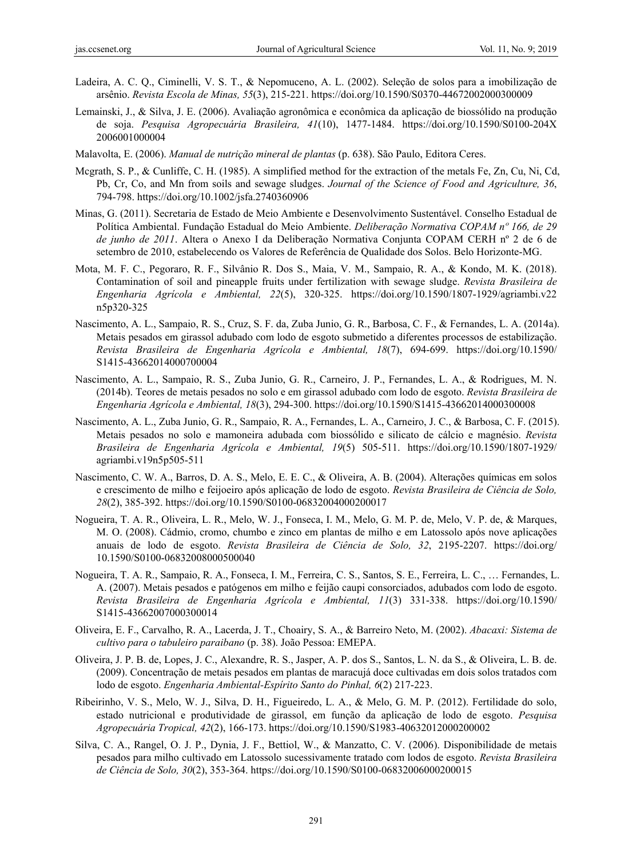- Ladeira, A. C. Q., Ciminelli, V. S. T., & Nepomuceno, A. L. (2002). Seleção de solos para a imobilização de arsênio. *Revista Escola de Minas, 55*(3), 215-221. https://doi.org/10.1590/S0370-44672002000300009
- Lemainski, J., & Silva, J. E. (2006). Avaliação agronômica e econômica da aplicação de biossólido na produção de soja. *Pesquisa Agropecuária Brasileira, 41*(10), 1477-1484. https://doi.org/10.1590/S0100-204X 2006001000004
- Malavolta, E. (2006). *Manual de nutrição mineral de plantas* (p. 638). São Paulo, Editora Ceres.
- Mcgrath, S. P., & Cunliffe, C. H. (1985). A simplified method for the extraction of the metals Fe, Zn, Cu, Ni, Cd, Pb, Cr, Co, and Mn from soils and sewage sludges. *Journal of the Science of Food and Agriculture, 36*, 794-798. https://doi.org/10.1002/jsfa.2740360906
- Minas, G. (2011). Secretaria de Estado de Meio Ambiente e Desenvolvimento Sustentável. Conselho Estadual de Política Ambiental. Fundação Estadual do Meio Ambiente. *Deliberação Normativa COPAM nº 166, de 29 de junho de 2011*. Altera o Anexo I da Deliberação Normativa Conjunta COPAM CERH nº 2 de 6 de setembro de 2010, estabelecendo os Valores de Referência de Qualidade dos Solos. Belo Horizonte-MG.
- Mota, M. F. C., Pegoraro, R. F., Silvânio R. Dos S., Maia, V. M., Sampaio, R. A., & Kondo, M. K. (2018). Contamination of soil and pineapple fruits under fertilization with sewage sludge. *Revista Brasileira de Engenharia Agrícola e Ambiental, 22*(5), 320-325. https://doi.org/10.1590/1807-1929/agriambi.v22 n5p320-325
- Nascimento, A. L., Sampaio, R. S., Cruz, S. F. da, Zuba Junio, G. R., Barbosa, C. F., & Fernandes, L. A. (2014a). Metais pesados em girassol adubado com lodo de esgoto submetido a diferentes processos de estabilização. *Revista Brasileira de Engenharia Agrícola e Ambiental, 18*(7), 694-699. https://doi.org/10.1590/ S1415-43662014000700004
- Nascimento, A. L., Sampaio, R. S., Zuba Junio, G. R., Carneiro, J. P., Fernandes, L. A., & Rodrigues, M. N. (2014b). Teores de metais pesados no solo e em girassol adubado com lodo de esgoto. *Revista Brasileira de Engenharia Agrícola e Ambiental, 18*(3), 294-300. https://doi.org/10.1590/S1415-43662014000300008
- Nascimento, A. L., Zuba Junio, G. R., Sampaio, R. A., Fernandes, L. A., Carneiro, J. C., & Barbosa, C. F. (2015). Metais pesados no solo e mamoneira adubada com biossólido e silicato de cálcio e magnésio. *Revista Brasileira de Engenharia Agrícola e Ambiental, 19*(5) 505-511. https://doi.org/10.1590/1807-1929/ agriambi.v19n5p505-511
- Nascimento, C. W. A., Barros, D. A. S., Melo, E. E. C., & Oliveira, A. B. (2004). Alterações químicas em solos e crescimento de milho e feijoeiro após aplicação de lodo de esgoto. *Revista Brasileira de Ciência de Solo, 28*(2), 385-392. https://doi.org/10.1590/S0100-06832004000200017
- Nogueira, T. A. R., Oliveira, L. R., Melo, W. J., Fonseca, I. M., Melo, G. M. P. de, Melo, V. P. de, & Marques, M. O. (2008). Cádmio, cromo, chumbo e zinco em plantas de milho e em Latossolo após nove aplicações anuais de lodo de esgoto. *Revista Brasileira de Ciência de Solo, 32*, 2195-2207. https://doi.org/ 10.1590/S0100-06832008000500040
- Nogueira, T. A. R., Sampaio, R. A., Fonseca, I. M., Ferreira, C. S., Santos, S. E., Ferreira, L. C., … Fernandes, L. A. (2007). Metais pesados e patógenos em milho e feijão caupi consorciados, adubados com lodo de esgoto. *Revista Brasileira de Engenharia Agrícola e Ambiental, 11*(3) 331-338. https://doi.org/10.1590/ S1415-43662007000300014
- Oliveira, E. F., Carvalho, R. A., Lacerda, J. T., Choairy, S. A., & Barreiro Neto, M. (2002). *Abacaxi: Sistema de cultivo para o tabuleiro paraibano* (p. 38). João Pessoa: EMEPA.
- Oliveira, J. P. B. de, Lopes, J. C., Alexandre, R. S., Jasper, A. P. dos S., Santos, L. N. da S., & Oliveira, L. B. de. (2009). Concentração de metais pesados em plantas de maracujá doce cultivadas em dois solos tratados com lodo de esgoto. *Engenharia Ambiental-Espírito Santo do Pinhal, 6*(2) 217-223.
- Ribeirinho, V. S., Melo, W. J., Silva, D. H., Figueiredo, L. A., & Melo, G. M. P. (2012). Fertilidade do solo, estado nutricional e produtividade de girassol, em função da aplicação de lodo de esgoto. *Pesquisa Agropecuária Tropical, 42*(2), 166-173. https://doi.org/10.1590/S1983-40632012000200002
- Silva, C. A., Rangel, O. J. P., Dynia, J. F., Bettiol, W., & Manzatto, C. V. (2006). Disponibilidade de metais pesados para milho cultivado em Latossolo sucessivamente tratado com lodos de esgoto. *Revista Brasileira de Ciência de Solo, 30*(2), 353-364. https://doi.org/10.1590/S0100-06832006000200015